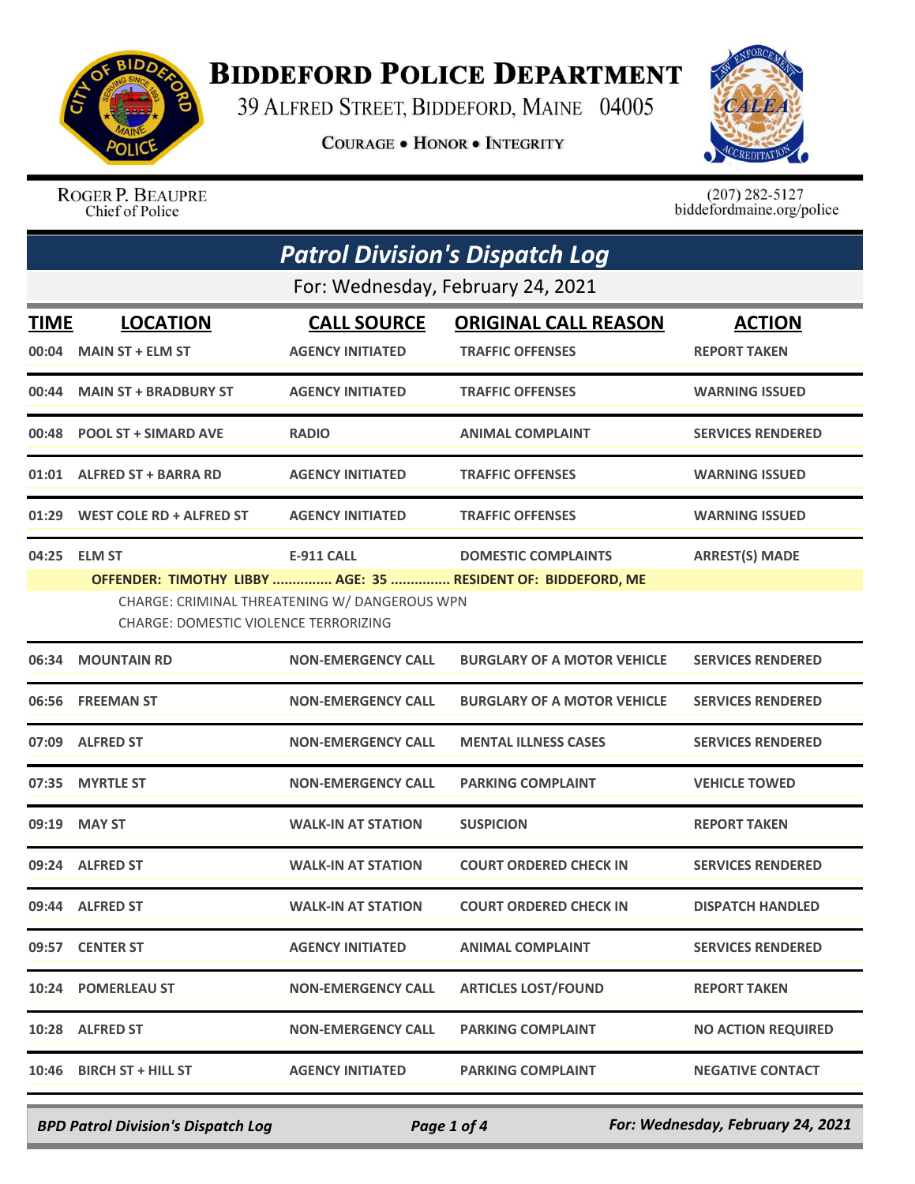

## **BIDDEFORD POLICE DEPARTMENT**

39 ALFRED STREET, BIDDEFORD, MAINE 04005

**COURAGE . HONOR . INTEGRITY** 



ROGER P. BEAUPRE Chief of Police

 $(207)$  282-5127<br>biddefordmaine.org/police

| <b>Patrol Division's Dispatch Log</b> |                                                               |                                                                    |                                                                                            |                                      |  |
|---------------------------------------|---------------------------------------------------------------|--------------------------------------------------------------------|--------------------------------------------------------------------------------------------|--------------------------------------|--|
|                                       | For: Wednesday, February 24, 2021                             |                                                                    |                                                                                            |                                      |  |
| <b>TIME</b><br>00:04                  | <b>LOCATION</b><br><b>MAIN ST + ELM ST</b>                    | <b>CALL SOURCE</b><br><b>AGENCY INITIATED</b>                      | <b>ORIGINAL CALL REASON</b><br><b>TRAFFIC OFFENSES</b>                                     | <b>ACTION</b><br><b>REPORT TAKEN</b> |  |
| 00:44                                 | <b>MAIN ST + BRADBURY ST</b>                                  | <b>AGENCY INITIATED</b>                                            | <b>TRAFFIC OFFENSES</b>                                                                    | <b>WARNING ISSUED</b>                |  |
| 00:48                                 | <b>POOL ST + SIMARD AVE</b>                                   | <b>RADIO</b>                                                       | <b>ANIMAL COMPLAINT</b>                                                                    | <b>SERVICES RENDERED</b>             |  |
| 01:01                                 | <b>ALFRED ST + BARRA RD</b>                                   | <b>AGENCY INITIATED</b>                                            | <b>TRAFFIC OFFENSES</b>                                                                    | <b>WARNING ISSUED</b>                |  |
| 01:29                                 | <b>WEST COLE RD + ALFRED ST</b>                               | <b>AGENCY INITIATED</b>                                            | <b>TRAFFIC OFFENSES</b>                                                                    | <b>WARNING ISSUED</b>                |  |
| 04:25                                 | <b>ELM ST</b><br><b>CHARGE: DOMESTIC VIOLENCE TERRORIZING</b> | <b>E-911 CALL</b><br>CHARGE: CRIMINAL THREATENING W/ DANGEROUS WPN | <b>DOMESTIC COMPLAINTS</b><br>OFFENDER: TIMOTHY LIBBY  AGE: 35  RESIDENT OF: BIDDEFORD, ME | <b>ARREST(S) MADE</b>                |  |
| 06:34                                 | <b>MOUNTAIN RD</b>                                            | <b>NON-EMERGENCY CALL</b>                                          | <b>BURGLARY OF A MOTOR VEHICLE</b>                                                         | <b>SERVICES RENDERED</b>             |  |
| 06:56                                 | <b>FREEMAN ST</b>                                             | <b>NON-EMERGENCY CALL</b>                                          | <b>BURGLARY OF A MOTOR VEHICLE</b>                                                         | <b>SERVICES RENDERED</b>             |  |
| 07:09                                 | <b>ALFRED ST</b>                                              | <b>NON-EMERGENCY CALL</b>                                          | <b>MENTAL ILLNESS CASES</b>                                                                | <b>SERVICES RENDERED</b>             |  |
| 07:35                                 | <b>MYRTLE ST</b>                                              | <b>NON-EMERGENCY CALL</b>                                          | <b>PARKING COMPLAINT</b>                                                                   | <b>VEHICLE TOWED</b>                 |  |
| 09:19                                 | <b>MAY ST</b>                                                 | <b>WALK-IN AT STATION</b>                                          | <b>SUSPICION</b>                                                                           | <b>REPORT TAKEN</b>                  |  |
|                                       | 09:24 ALFRED ST                                               | <b>WALK-IN AT STATION</b>                                          | <b>COURT ORDERED CHECK IN</b>                                                              | <b>SERVICES RENDERED</b>             |  |
|                                       | 09:44 ALFRED ST                                               | WALK-IN AT STATION                                                 | <b>COURT ORDERED CHECK IN</b>                                                              | <b>DISPATCH HANDLED</b>              |  |
| 09:57                                 | <b>CENTER ST</b>                                              | <b>AGENCY INITIATED</b>                                            | <b>ANIMAL COMPLAINT</b>                                                                    | <b>SERVICES RENDERED</b>             |  |
| 10:24                                 | <b>POMERLEAU ST</b>                                           | <b>NON-EMERGENCY CALL</b>                                          | <b>ARTICLES LOST/FOUND</b>                                                                 | <b>REPORT TAKEN</b>                  |  |
|                                       | 10:28 ALFRED ST                                               | <b>NON-EMERGENCY CALL</b>                                          | <b>PARKING COMPLAINT</b>                                                                   | <b>NO ACTION REQUIRED</b>            |  |
| 10:46                                 | <b>BIRCH ST + HILL ST</b>                                     | <b>AGENCY INITIATED</b>                                            | <b>PARKING COMPLAINT</b>                                                                   | <b>NEGATIVE CONTACT</b>              |  |

*BPD Patrol Division's Dispatch Log Page 1 of 4 For: Wednesday, February 24, 2021*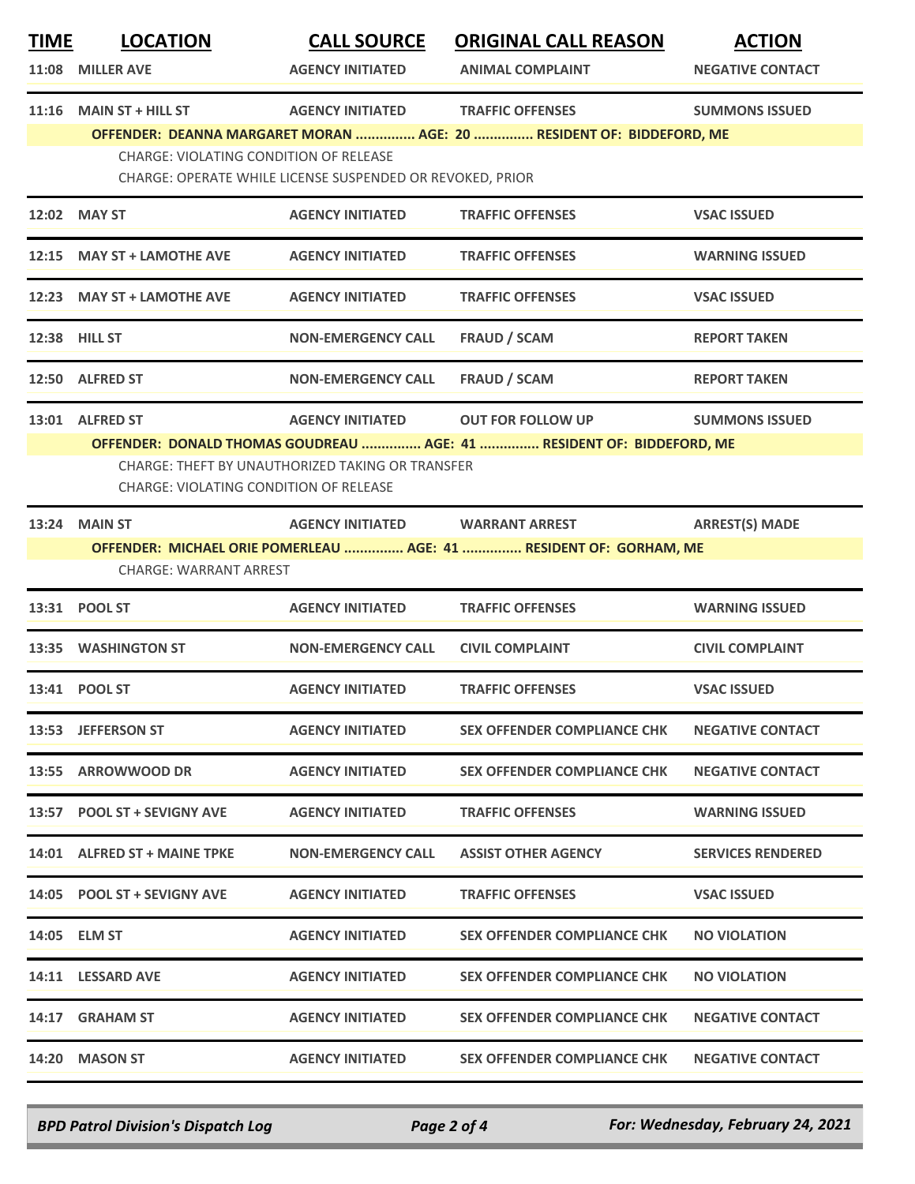| <u>TIME</u> | <b>LOCATION</b><br>11:08 MILLER AVE                                       | <b>CALL SOURCE</b><br><b>AGENCY INITIATED</b>                                        | <b>ORIGINAL CALL REASON</b><br><b>ANIMAL COMPLAINT</b>                                            | <b>ACTION</b><br><b>NEGATIVE CONTACT</b> |
|-------------|---------------------------------------------------------------------------|--------------------------------------------------------------------------------------|---------------------------------------------------------------------------------------------------|------------------------------------------|
| 11:16       | <b>MAIN ST + HILL ST</b><br><b>CHARGE: VIOLATING CONDITION OF RELEASE</b> | <b>AGENCY INITIATED</b>                                                              | <b>TRAFFIC OFFENSES</b><br>OFFENDER: DEANNA MARGARET MORAN  AGE: 20  RESIDENT OF: BIDDEFORD, ME   | <b>SUMMONS ISSUED</b>                    |
|             |                                                                           | CHARGE: OPERATE WHILE LICENSE SUSPENDED OR REVOKED, PRIOR<br><b>AGENCY INITIATED</b> | <b>TRAFFIC OFFENSES</b>                                                                           |                                          |
|             | 12:02 MAY ST                                                              |                                                                                      |                                                                                                   | <b>VSAC ISSUED</b>                       |
|             | 12:15 MAY ST + LAMOTHE AVE                                                | <b>AGENCY INITIATED</b>                                                              | <b>TRAFFIC OFFENSES</b>                                                                           | <b>WARNING ISSUED</b>                    |
|             | 12:23 MAY ST + LAMOTHE AVE                                                | <b>AGENCY INITIATED</b>                                                              | <b>TRAFFIC OFFENSES</b>                                                                           | <b>VSAC ISSUED</b>                       |
|             | 12:38 HILL ST                                                             | <b>NON-EMERGENCY CALL</b>                                                            | <b>FRAUD / SCAM</b>                                                                               | <b>REPORT TAKEN</b>                      |
|             | 12:50 ALFRED ST                                                           | <b>NON-EMERGENCY CALL</b>                                                            | <b>FRAUD / SCAM</b>                                                                               | <b>REPORT TAKEN</b>                      |
|             | 13:01 ALFRED ST<br>CHARGE: VIOLATING CONDITION OF RELEASE                 | <b>AGENCY INITIATED</b><br><b>CHARGE: THEFT BY UNAUTHORIZED TAKING OR TRANSFER</b>   | <b>OUT FOR FOLLOW UP</b><br>OFFENDER: DONALD THOMAS GOUDREAU  AGE: 41  RESIDENT OF: BIDDEFORD, ME | <b>SUMMONS ISSUED</b>                    |
| 13:24       | <b>MAIN ST</b><br><b>CHARGE: WARRANT ARREST</b>                           | <b>AGENCY INITIATED</b>                                                              | <b>WARRANT ARREST</b><br>OFFENDER: MICHAEL ORIE POMERLEAU  AGE: 41  RESIDENT OF: GORHAM, ME       | <b>ARREST(S) MADE</b>                    |
| 13:31       | <b>POOL ST</b>                                                            | <b>AGENCY INITIATED</b>                                                              | <b>TRAFFIC OFFENSES</b>                                                                           | <b>WARNING ISSUED</b>                    |
|             | 13:35 WASHINGTON ST                                                       | <b>NON-EMERGENCY CALL</b>                                                            | <b>CIVIL COMPLAINT</b>                                                                            | <b>CIVIL COMPLAINT</b>                   |
|             | 13:41 POOL ST                                                             | <b>AGENCY INITIATED</b>                                                              | <b>TRAFFIC OFFENSES</b>                                                                           | <b>VSAC ISSUED</b>                       |
|             | 13:53 JEFFERSON ST                                                        | <b>AGENCY INITIATED</b>                                                              | <b>SEX OFFENDER COMPLIANCE CHK</b>                                                                | <b>NEGATIVE CONTACT</b>                  |
| 13:55       | <b>ARROWWOOD DR</b>                                                       | <b>AGENCY INITIATED</b>                                                              | <b>SEX OFFENDER COMPLIANCE CHK</b>                                                                | <b>NEGATIVE CONTACT</b>                  |
| 13:57       | <b>POOL ST + SEVIGNY AVE</b>                                              | <b>AGENCY INITIATED</b>                                                              | <b>TRAFFIC OFFENSES</b>                                                                           | <b>WARNING ISSUED</b>                    |
|             | 14:01 ALFRED ST + MAINE TPKE                                              | <b>NON-EMERGENCY CALL</b>                                                            | <b>ASSIST OTHER AGENCY</b>                                                                        | <b>SERVICES RENDERED</b>                 |
|             | 14:05 POOL ST + SEVIGNY AVE                                               | <b>AGENCY INITIATED</b>                                                              | <b>TRAFFIC OFFENSES</b>                                                                           | <b>VSAC ISSUED</b>                       |
|             | 14:05 ELM ST                                                              | <b>AGENCY INITIATED</b>                                                              | <b>SEX OFFENDER COMPLIANCE CHK</b>                                                                | <b>NO VIOLATION</b>                      |
|             | 14:11 LESSARD AVE                                                         | <b>AGENCY INITIATED</b>                                                              | <b>SEX OFFENDER COMPLIANCE CHK</b>                                                                | <b>NO VIOLATION</b>                      |
| 14:17       | <b>GRAHAM ST</b>                                                          | <b>AGENCY INITIATED</b>                                                              | <b>SEX OFFENDER COMPLIANCE CHK</b>                                                                | <b>NEGATIVE CONTACT</b>                  |
| 14:20       | <b>MASON ST</b>                                                           | <b>AGENCY INITIATED</b>                                                              | <b>SEX OFFENDER COMPLIANCE CHK</b>                                                                | <b>NEGATIVE CONTACT</b>                  |

*BPD Patrol Division's Dispatch Log Page 2 of 4 For: Wednesday, February 24, 2021*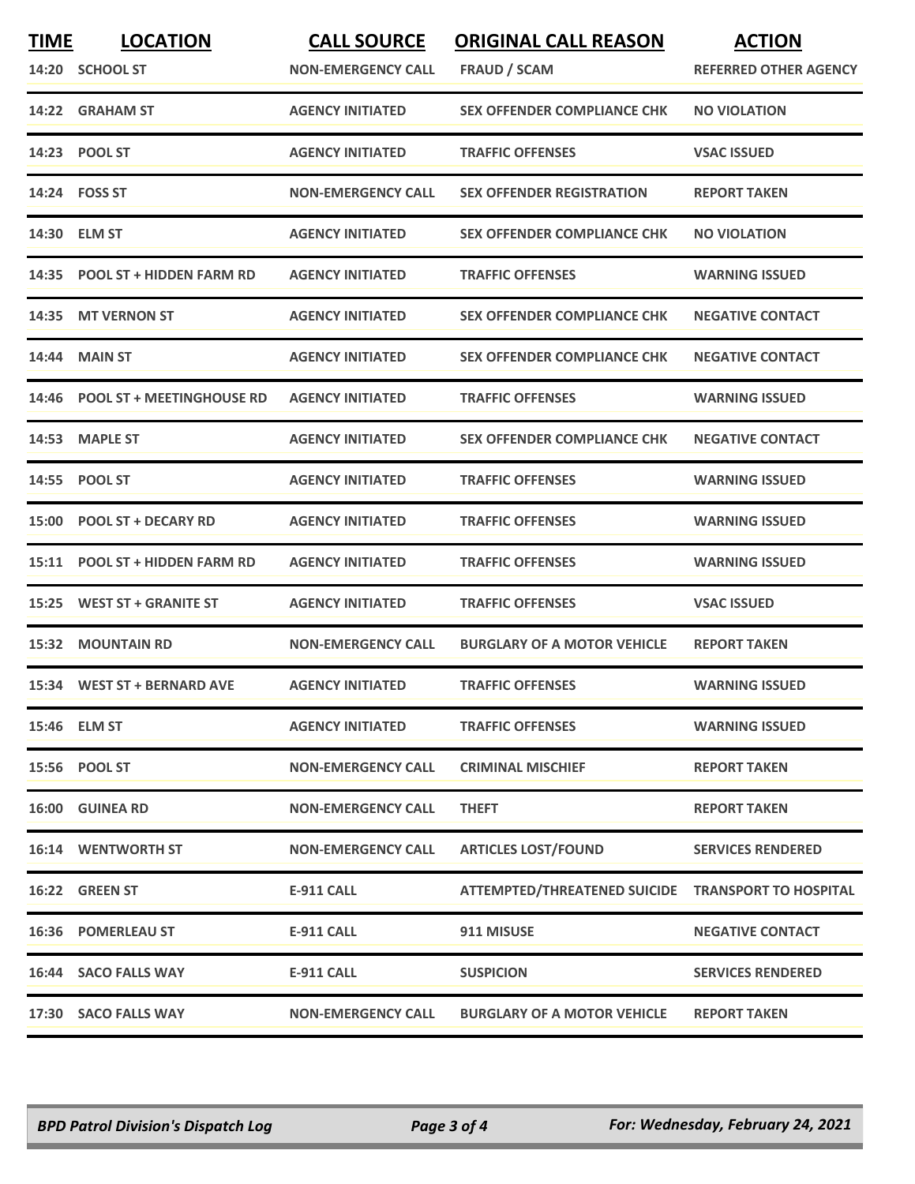| <b>TIME</b> | <b>LOCATION</b>                  | <b>CALL SOURCE</b>        | <b>ORIGINAL CALL REASON</b>                        | <b>ACTION</b>                |
|-------------|----------------------------------|---------------------------|----------------------------------------------------|------------------------------|
|             | 14:20 SCHOOL ST                  | <b>NON-EMERGENCY CALL</b> | FRAUD / SCAM                                       | <b>REFERRED OTHER AGENCY</b> |
|             | 14:22 GRAHAM ST                  | <b>AGENCY INITIATED</b>   | <b>SEX OFFENDER COMPLIANCE CHK</b>                 | <b>NO VIOLATION</b>          |
| 14:23       | <b>POOL ST</b>                   | <b>AGENCY INITIATED</b>   | <b>TRAFFIC OFFENSES</b>                            | <b>VSAC ISSUED</b>           |
|             | 14:24    FOSS ST                 | <b>NON-EMERGENCY CALL</b> | <b>SEX OFFENDER REGISTRATION</b>                   | <b>REPORT TAKEN</b>          |
| 14:30       | <b>ELM ST</b>                    | <b>AGENCY INITIATED</b>   | <b>SEX OFFENDER COMPLIANCE CHK</b>                 | <b>NO VIOLATION</b>          |
| 14:35       | <b>POOL ST + HIDDEN FARM RD</b>  | <b>AGENCY INITIATED</b>   | <b>TRAFFIC OFFENSES</b>                            | <b>WARNING ISSUED</b>        |
| 14:35       | <b>MT VERNON ST</b>              | <b>AGENCY INITIATED</b>   | <b>SEX OFFENDER COMPLIANCE CHK</b>                 | <b>NEGATIVE CONTACT</b>      |
| 14:44       | <b>MAIN ST</b>                   | <b>AGENCY INITIATED</b>   | <b>SEX OFFENDER COMPLIANCE CHK</b>                 | <b>NEGATIVE CONTACT</b>      |
| 14:46       | <b>POOL ST + MEETINGHOUSE RD</b> | <b>AGENCY INITIATED</b>   | <b>TRAFFIC OFFENSES</b>                            | <b>WARNING ISSUED</b>        |
| 14:53       | <b>MAPLE ST</b>                  | <b>AGENCY INITIATED</b>   | <b>SEX OFFENDER COMPLIANCE CHK</b>                 | <b>NEGATIVE CONTACT</b>      |
| 14:55       | <b>POOL ST</b>                   | <b>AGENCY INITIATED</b>   | <b>TRAFFIC OFFENSES</b>                            | <b>WARNING ISSUED</b>        |
| 15:00       | <b>POOL ST + DECARY RD</b>       | <b>AGENCY INITIATED</b>   | <b>TRAFFIC OFFENSES</b>                            | <b>WARNING ISSUED</b>        |
| 15:11       | <b>POOL ST + HIDDEN FARM RD</b>  | <b>AGENCY INITIATED</b>   | <b>TRAFFIC OFFENSES</b>                            | <b>WARNING ISSUED</b>        |
| 15:25       | <b>WEST ST + GRANITE ST</b>      | <b>AGENCY INITIATED</b>   | <b>TRAFFIC OFFENSES</b>                            | <b>VSAC ISSUED</b>           |
| 15:32       | <b>MOUNTAIN RD</b>               | <b>NON-EMERGENCY CALL</b> | <b>BURGLARY OF A MOTOR VEHICLE</b>                 | <b>REPORT TAKEN</b>          |
|             | 15:34 WEST ST + BERNARD AVE      | <b>AGENCY INITIATED</b>   | <b>TRAFFIC OFFENSES</b>                            | <b>WARNING ISSUED</b>        |
|             | 15:46 ELM ST                     | <b>AGENCY INITIATED</b>   | <b>TRAFFIC OFFENSES</b>                            | <b>WARNING ISSUED</b>        |
|             | 15:56 POOL ST                    | <b>NON-EMERGENCY CALL</b> | <b>CRIMINAL MISCHIEF</b>                           | <b>REPORT TAKEN</b>          |
| 16:00       | <b>GUINEA RD</b>                 | <b>NON-EMERGENCY CALL</b> | <b>THEFT</b>                                       | <b>REPORT TAKEN</b>          |
|             | <b>16:14 WENTWORTH ST</b>        | <b>NON-EMERGENCY CALL</b> | <b>ARTICLES LOST/FOUND</b>                         | <b>SERVICES RENDERED</b>     |
|             | 16:22 GREEN ST                   | <b>E-911 CALL</b>         | ATTEMPTED/THREATENED SUICIDE TRANSPORT TO HOSPITAL |                              |
|             | 16:36 POMERLEAU ST               | <b>E-911 CALL</b>         | 911 MISUSE                                         | <b>NEGATIVE CONTACT</b>      |
|             | 16:44 SACO FALLS WAY             | <b>E-911 CALL</b>         | <b>SUSPICION</b>                                   | <b>SERVICES RENDERED</b>     |
|             | 17:30 SACO FALLS WAY             | <b>NON-EMERGENCY CALL</b> | <b>BURGLARY OF A MOTOR VEHICLE</b>                 | <b>REPORT TAKEN</b>          |